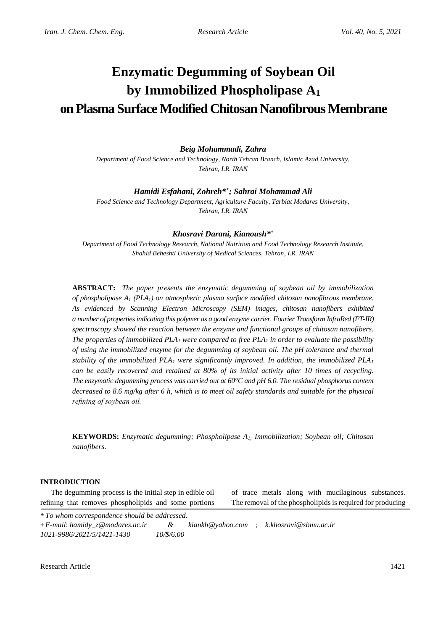# **Enzymatic Degumming of Soybean Oil by Immobilized Phospholipase A<sup>1</sup> on Plasma Surface Modified Chitosan Nanofibrous Membrane**

*Beig Mohammadi, Zahra*

*Department of Food Science and Technology, North Tehran Branch, Islamic Azad University, Tehran, I.R. IRAN*

# *Hamidi Esfahani, Zohreh\* + ; Sahrai Mohammad Ali*

*Food Science and Technology Department, Agriculture Faculty, Tarbiat Modares University, Tehran, I.R. IRAN*

# *Khosravi Darani, Kianoush\* +*

*Department of Food Technology Research, National Nutrition and Food Technology Research Institute, Shahid Beheshti University of Medical Sciences, Tehran, I.R. IRAN*

**ABSTRACT:** *The paper presents the enzymatic degumming of soybean oil by immobilization of phospholipase A<sup>1</sup> (PLA1) on atmospheric plasma surface modified chitosan nanofibrous membrane. As evidenced by Scanning Electron Microscopy (SEM) images, chitosan nanofibers exhibited a number of properties indicating this polymer as a good enzyme carrier. Fourier Transform InfraRed (FT-IR) spectroscopy showed the reaction between the enzyme and functional groups of chitosan nanofibers. The properties of immobilized PLA<sup>1</sup> were compared to free PLA<sup>1</sup> in order to evaluate the possibility of using the immobilized enzyme for the degumming of soybean oil. The pH tolerance and thermal stability of the immobilized PLA<sup>1</sup> were significantly improved. In addition, the immobilized PLA<sup>1</sup> can be easily recovered and retained at 80% of its initial activity after 10 times of recycling. The enzymatic degumming process was carried out at 60°C and pH 6.0. The residual phosphorus content decreased to 8.6 mg/kg after 6 h, which is to meet oil safety standards and suitable for the physical refining of soybean oil.*

**KEYWORDS:** *Enzymatic degumming; Phospholipase A1; Immobilization; Soybean oil; Chitosan nanofibers*.

## **INTRODUCTION**

The degumming process is the initial step in edible oil refining that removes phospholipids and some portions

of trace metals along with mucilaginous substances. The removal of the phospholipids is required for producing

*\* To whom correspondence should be addressed.*

**+** *E-mail*: *hamidy\_z@modares.ac.ir & kiankh@yahoo.com ; k.khosravi@sbmu.ac.ir 1021-9986/2021/5/1421-1430 10/\$/6.00*

Research Article 1421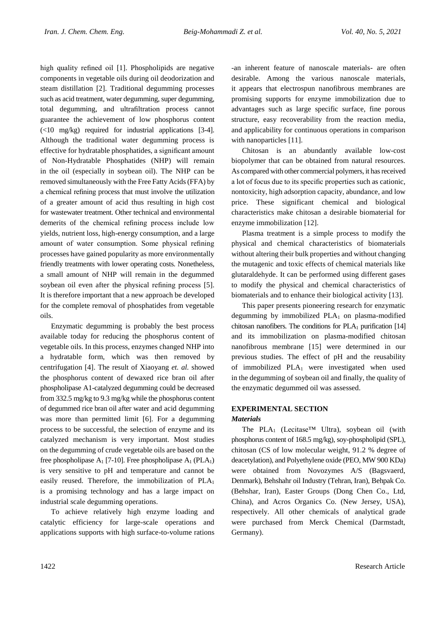high quality refined oil [1]. Phospholipids are negative components in vegetable oils during oil deodorization and steam distillation [2]. Traditional degumming processes such as acid treatment, water degumming, super degumming, total degumming, and ultrafiltration process cannot guarantee the achievement of low phosphorus content  $(\leq 10$  mg/kg) required for industrial applications [3-4]. Although the traditional water degumming process is effective for hydratable phosphatides, a significant amount of Non-Hydratable Phosphatides (NHP) will remain in the oil (especially in soybean oil). The NHP can be removed simultaneously with the Free Fatty Acids (FFA) by a chemical refining process that must involve the utilization of a greater amount of acid thus resulting in high cost for wastewater treatment. Other technical and environmental demerits of the chemical refining process include low yields, nutrient loss, high-energy consumption, and a large amount of water consumption. Some physical refining processes have gained popularity as more environmentally friendly treatments with lower operating costs. Nonetheless, a small amount of NHP will remain in the degummed soybean oil even after the physical refining process [5]. It is therefore important that a new approach be developed for the complete removal of phosphatides from vegetable oils.

Enzymatic degumming is probably the best process available today for reducing the phosphorus content of vegetable oils. In this process, enzymes changed NHP into a hydratable form, which was then removed by centrifugation [4]. The result of Xiaoyang *et. al.* showed the phosphorus content of dewaxed rice bran oil after phospholipase A1-catalyzed degumming could be decreased from 332.5 mg/kg to 9.3 mg/kg while the phosphorus content of degummed rice bran oil after water and acid degumming was more than permitted limit [6]. For a degumming process to be successful, the selection of enzyme and its catalyzed mechanism is very important. Most studies on the degumming of crude vegetable oils are based on the free phospholipase  $A_1$  [7-10]. Free phospholipase  $A_1$  (PLA<sub>1</sub>) is very sensitive to pH and temperature and cannot be easily reused. Therefore, the immobilization of  $PLA_1$ is a promising technology and has a large impact on industrial scale degumming operations.

To achieve relatively high enzyme loading and catalytic efficiency for large-scale operations and applications supports with high surface-to-volume rations

-an inherent feature of nanoscale materials- are often desirable. Among the various nanoscale materials, it appears that electrospun nanofibrous membranes are promising supports for enzyme immobilization due to advantages such as large specific surface, fine porous structure, easy recoverability from the reaction media, and applicability for continuous operations in comparison with nanoparticles [11].

Chitosan is an abundantly available low-cost biopolymer that can be obtained from natural resources. As compared with other commercial polymers, it has received a lot of focus due to its specific properties such as cationic, nontoxicity, high adsorption capacity, abundance, and low price. These significant chemical and biological characteristics make chitosan a desirable biomaterial for enzyme immobilization [12].

Plasma treatment is a simple process to modify the physical and chemical characteristics of biomaterials without altering their bulk properties and without changing the mutagenic and toxic effects of chemical materials like glutaraldehyde. It can be performed using different gases to modify the physical and chemical characteristics of biomaterials and to enhance their biological activity [13].

This paper presents pioneering research for enzymatic degumming by immobilized  $PLA_1$  on plasma-modified chitosan nanofibers. The conditions for  $PLA_1$  purification [14] and its immobilization on plasma-modified chitosan nanofibrous membrane [15] were determined in our previous studies. The effect of pH and the reusability of immobilized  $PLA_1$  were investigated when used in the degumming of soybean oil and finally, the quality of the enzymatic degummed oil was assessed.

# **EXPERIMENTAL SECTION**

# *Materials*

The PLA<sub>1</sub> (Lecitase<sup>™</sup> Ultra), soybean oil (with phosphorus content of 168.5 mg/kg), soy-phospholipid (SPL), chitosan (CS of low molecular weight, 91.2 % degree of deacetylation), and Polyethylene oxide (PEO, MW 900 KDa) were obtained from Novozymes A/S (Bagsvaerd, Denmark), Behshahr oil Industry (Tehran, Iran), Behpak Co. (Behshar, Iran), Easter Groups (Dong Chen Co., Ltd, China), and Acros Organics Co. (New Jersey, USA), respectively. All other chemicals of analytical grade were purchased from Merck Chemical (Darmstadt, Germany).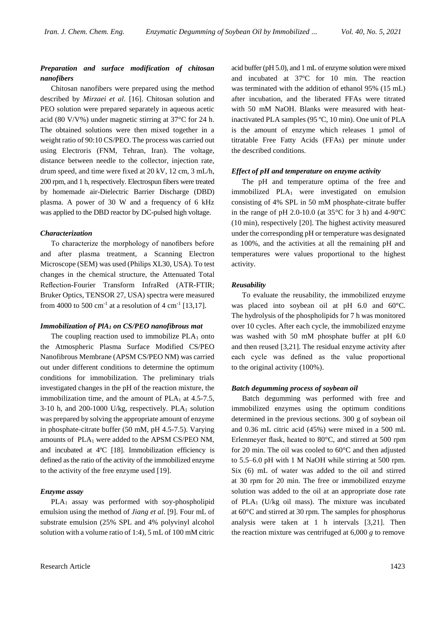## *Preparation and surface modification of chitosan nanofibers*

Chitosan nanofibers were prepared using the method described by *Mirzaei et al*. [16]. Chitosan solution and PEO solution were prepared separately in aqueous acetic acid (80 V/V%) under magnetic stirring at 37°C for 24 h. The obtained solutions were then mixed together in a weight ratio of 90:10 CS/PEO. The process was carried out using Electroris (FNM, Tehran, Iran). The voltage, distance between needle to the collector, injection rate, drum speed, and time were fixed at 20 kV, 12 cm, 3 mL/h, 200 rpm, and 1 h, respectively. Electrospun fibers were treated by homemade air-Dielectric Barrier Discharge (DBD) plasma. A power of 30 W and a frequency of 6 kHz was applied to the DBD reactor by DC-pulsed high voltage.

#### *Characterization*

To characterize the morphology of nanofibers before and after plasma treatment, a Scanning Electron Microscope (SEM) was used (Philips XL30, USA). To test changes in the chemical structure, the Attenuated Total Reflection-Fourier Transform InfraRed (ATR-FTIR; Bruker Optics, TENSOR 27, USA) spectra were measured from 4000 to 500 cm<sup>-1</sup> at a resolution of 4 cm<sup>-1</sup> [13,17].

#### *Immobilization of PlA<sup>1</sup> on CS/PEO nanofibrous mat*

The coupling reaction used to immobilize  $PLA_1$  onto the Atmospheric Plasma Surface Modified CS/PEO Nanofibrous Membrane (APSM CS/PEO NM) was carried out under different conditions to determine the optimum conditions for immobilization. The preliminary trials investigated changes in the pH of the reaction mixture, the immobilization time, and the amount of  $PLA_1$  at 4.5-7.5, 3-10 h, and 200-1000 U/kg, respectively.  $PLA_1$  solution was prepared by solving the appropriate amount of enzyme in phosphate-citrate buffer (50 mM, pH 4.5-7.5). Varying amounts of PLA1 were added to the APSM CS/PEO NM, and incubated at 4ºC [18]. Immobilization efficiency is defined as the ratio of the activity of the immobilized enzyme to the activity of the free enzyme used [19].

#### *Enzyme assay*

PLA<sub>1</sub> assay was performed with soy-phospholipid emulsion using the method of *Jiang et al*. [9]. Four mL of substrate emulsion (25% SPL and 4% polyvinyl alcohol solution with a volume ratio of 1:4), 5 mL of 100 mM citric acid buffer (pH 5.0), and 1 mL of enzyme solution were mixed and incubated at 37ºC for 10 min. The reaction was terminated with the addition of ethanol 95% (15 mL) after incubation, and the liberated FFAs were titrated with 50 mM NaOH. Blanks were measured with heatinactivated PLA samples (95 ºC, 10 min). One unit of PLA is the amount of enzyme which releases 1 µmol of titratable Free Fatty Acids (FFAs) per minute under the described conditions.

## *Effect of pH and temperature on enzyme activity*

The pH and temperature optima of the free and immobilized PLA<sup>1</sup> were investigated on emulsion consisting of 4% SPL in 50 mM phosphate-citrate buffer in the range of pH 2.0-10.0 (at  $35^{\circ}$ C for 3 h) and 4-90 $^{\circ}$ C (10 min), respectively [20]. The highest activity measured under the corresponding pH or temperature was designated as 100%, and the activities at all the remaining pH and temperatures were values proportional to the highest activity.

#### *Reusability*

To evaluate the reusability, the immobilized enzyme was placed into soybean oil at pH 6.0 and 60°C. The hydrolysis of the phospholipids for 7 h was monitored over 10 cycles. After each cycle, the immobilized enzyme was washed with 50 mM phosphate buffer at pH 6.0 and then reused [3,21]. The residual enzyme activity after each cycle was defined as the value proportional to the original activity (100%).

#### *Batch degumming process of soybean oil*

Batch degumming was performed with free and immobilized enzymes using the optimum conditions determined in the previous sections. 300 g of soybean oil and 0.36 mL citric acid (45%) were mixed in a 500 mL Erlenmeyer flask, heated to 80°C, and stirred at 500 rpm for 20 min. The oil was cooled to 60°C and then adjusted to 5.5–6.0 pH with 1 M NaOH while stirring at 500 rpm. Six (6) mL of water was added to the oil and stirred at 30 rpm for 20 min. The free or immobilized enzyme solution was added to the oil at an appropriate dose rate of PLA<sub>1</sub> (U/kg oil mass). The mixture was incubated at 60°C and stirred at 30 rpm. The samples for phosphorus analysis were taken at 1 h intervals [3,21]. Then the reaction mixture was centrifuged at 6,000 *g* to remove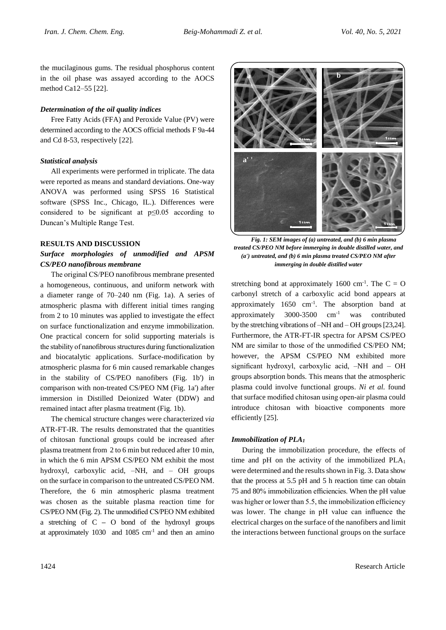the mucilaginous gums. The residual phosphorus content in the oil phase was assayed according to the AOCS method Ca12–55 [22].

## *Determination of the oil quality indices*

Free Fatty Acids (FFA) and Peroxide Value (PV) were determined according to the AOCS official methods F 9a-44 and Cd 8-53, respectively [22].

## *Statistical analysis*

All experiments were performed in triplicate. The data were reported as means and standard deviations. One-way ANOVA was performed using SPSS 16 Statistical software (SPSS Inc., Chicago, IL.). Differences were considered to be significant at  $p \leq 0.05$  according to Duncan's Multiple Range Test.

## **RESULTS AND DISCUSSION**

# *Surface morphologies of unmodified and APSM CS/PEO nanofibrous membrane*

The original CS/PEO nanofibrous membrane presented a homogeneous, continuous, and uniform network with a diameter range of 70–240 nm (Fig. 1a). A series of atmospheric plasma with different initial times ranging from 2 to 10 minutes was applied to investigate the effect on surface functionalization and enzyme immobilization. One practical concern for solid supporting materials is the stability of nanofibrous structures during functionalization and biocatalytic applications. Surface-modification by atmospheric plasma for 6 min caused remarkable changes in the stability of CS/PEO nanofibers (Fig. 1b') in comparison with non-treated CS/PEO NM (Fig. 1a') after immersion in Distilled Deionized Water (DDW) and remained intact after plasma treatment (Fig. 1b).

The chemical structure changes were characterized *via* ATR-FT-IR. The results demonstrated that the quantities of chitosan functional groups could be increased after plasma treatment from 2 to 6 min but reduced after 10 min, in which the 6 min APSM CS/PEO NM exhibit the most hydroxyl, carboxylic acid, –NH, and – OH groups on the surface in comparison to the untreated CS/PEO NM. Therefore, the 6 min atmospheric plasma treatment was chosen as the suitable plasma reaction time for CS/PEO NM (Fig. 2). The unmodified CS/PEO NM exhibited a stretching of C **–** O bond of the hydroxyl groups at approximately  $1030$  and  $1085$  cm<sup>-1</sup> and then an amino



*Fig. 1: SEM images of (a) untreated, and (b) 6 min plasma treated CS/PEO NM before immerging in double distilled water, and (a') untreated, and (b) 6 min plasma treated CS/PEO NM after immerging in double distilled water*

stretching bond at approximately 1600 cm<sup>-1</sup>. The  $C = O$ carbonyl stretch of a carboxylic acid bond appears at approximately 1650 cm-1 . The absorption band at approximately 3000-3500 cm-1 was contributed by the stretching vibrations of –NH and – OH groups [23,24]. Furthermore, the ATR-FT-IR spectra for APSM CS/PEO NM are similar to those of the unmodified CS/PEO NM; however, the APSM CS/PEO NM exhibited more significant hydroxyl, carboxylic acid, –NH and – OH groups absorption bonds. This means that the atmospheric plasma could involve functional groups. *Ni et al.* found that surface modified chitosan using open-air plasma could introduce chitosan with bioactive components more efficiently [25].

#### *Immobilization of PLA<sup>1</sup>*

During the immobilization procedure, the effects of time and pH on the activity of the immobilized PLA<sub>1</sub> were determined and the results shown in Fig. 3. Data show that the process at 5.5 pH and 5 h reaction time can obtain 75 and 80% immobilization efficiencies. When the pH value was higher or lower than 5.5, the immobilization efficiency was lower. The change in pH value can influence the electrical charges on the surface of the nanofibers and limit the interactions between functional groups on the surface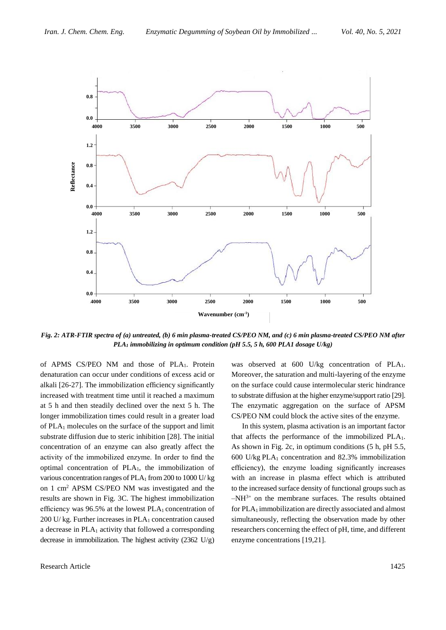

*Fig. 2: ATR-FTIR spectra of (a) untreated, (b) 6 min plasma-treated CS/PEO NM, and (c) 6 min plasma-treated CS/PEO NM after PLA<sup>1</sup> immobilizing in optimum condition (pH 5.5, 5 h, 600 PLA1 dosage U/kg)*

of APMS CS/PEO NM and those of PLA1. Protein denaturation can occur under conditions of excess acid or alkali [26-27]. The immobilization efficiency significantly increased with treatment time until it reached a maximum at 5 h and then steadily declined over the next 5 h. The longer immobilization times could result in a greater load of PLA<sup>1</sup> molecules on the surface of the support and limit substrate diffusion due to steric inhibition [28]. The initial concentration of an enzyme can also greatly affect the activity of the immobilized enzyme. In order to find the optimal concentration of PLA1, the immobilization of various concentration ranges of  $PLA_1$  from 200 to 1000 U/ kg on 1 cm<sup>2</sup> APSM CS/PEO NM was investigated and the results are shown in Fig. 3C. The highest immobilization efficiency was  $96.5%$  at the lowest PLA<sub>1</sub> concentration of 200 U/ kg. Further increases in PLA<sub>1</sub> concentration caused a decrease in PLA<sup>1</sup> activity that followed a corresponding decrease in immobilization. The highest activity (2362 U/g)

was observed at 600 U/kg concentration of PLA1. Moreover, the saturation and multi-layering of the enzyme on the surface could cause intermolecular steric hindrance to substrate diffusion at the higher enzyme/support ratio [29]. The enzymatic aggregation on the surface of APSM CS/PEO NM could block the active sites of the enzyme.

In this system, plasma activation is an important factor that affects the performance of the immobilized PLA<sub>1</sub>. As shown in Fig. 2c, in optimum conditions (5 h, pH 5.5, 600 U/kg PLA<sup>1</sup> concentration and 82.3% immobilization efficiency), the enzyme loading significantly increases with an increase in plasma effect which is attributed to the increased surface density of functional groups such as  $-NH^{3+}$  on the membrane surfaces. The results obtained for PLA<sub>1</sub> immobilization are directly associated and almost simultaneously, reflecting the observation made by other researchers concerning the effect of pH, time, and different enzyme concentrations [19,21].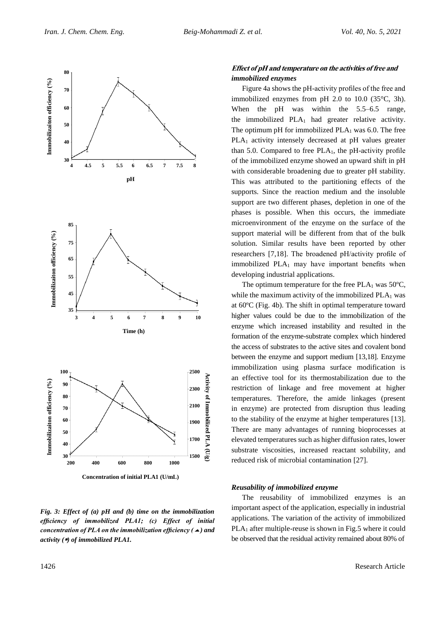

*Fig. 3: Effect of (a) pH and (b) time on the immobilization efficiency of immobilized PLA1; (c) Effect of initial concentration of PLA on the immobilization efficiency () and activity () of immobilized PLA1.*

# **Effect of pH and temperature on the activities of free and** *immobilized enzymes*

Figure 4a shows the pH-activity profiles of the free and immobilized enzymes from pH 2.0 to 10.0 (35°C, 3h). When the pH was within the 5.5–6.5 range, the immobilized  $PLA_1$  had greater relative activity. The optimum pH for immobilized  $PLA_1$  was 6.0. The free PLA<sub>1</sub> activity intensely decreased at pH values greater than 5.0. Compared to free  $PLA_1$ , the pH-activity profile of the immobilized enzyme showed an upward shift in pH with considerable broadening due to greater pH stability. This was attributed to the partitioning effects of the supports. Since the reaction medium and the insoluble support are two different phases, depletion in one of the phases is possible. When this occurs, the immediate microenvironment of the enzyme on the surface of the support material will be different from that of the bulk solution. Similar results have been reported by other researchers [7,18]. The broadened pH/activity profile of immobilized  $PLA_1$  may have important benefits when developing industrial applications.

The optimum temperature for the free  $PLA_1$  was 50 $^{\circ}$ C, while the maximum activity of the immobilized  $PLA_1$  was at 60ºC (Fig. 4b). The shift in optimal temperature toward higher values could be due to the immobilization of the enzyme which increased instability and resulted in the formation of the enzyme-substrate complex which hindered the access of substrates to the active sites and covalent bond between the enzyme and support medium [13,18]. Enzyme immobilization using plasma surface modification is an effective tool for its thermostabilization due to the restriction of linkage and free movement at higher temperatures. Therefore, the amide linkages (present in enzyme) are protected from disruption thus leading to the stability of the enzyme at higher temperatures [13]. There are many advantages of running bioprocesses at elevated temperatures such as higher diffusion rates, lower substrate viscosities, increased reactant solubility, and reduced risk of microbial contamination [27].

### *Reusability of immobilized enzyme*

The reusability of immobilized enzymes is an important aspect of the application, especially in industrial applications. The variation of the activity of immobilized PLA<sub>1</sub> after multiple-reuse is shown in Fig.5 where it could be observed that the residual activity remained about 80% of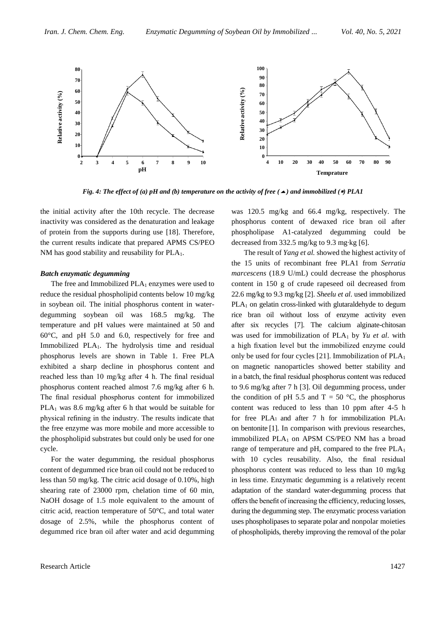

*Fig. 4: The effect of (a) pH and (b) temperature on the activity of free (* $\triangle$ *) and immobilized (* $\triangle$ *) PLA1* 

the initial activity after the 10th recycle. The decrease inactivity was considered as the denaturation and leakage of protein from the supports during use [18]. Therefore, the current results indicate that prepared APMS CS/PEO NM has good stability and reusability for PLA<sub>1</sub>.

## *Batch enzymatic degumming*

The free and Immobilized  $PLA_1$  enzymes were used to reduce the residual phospholipid contents below 10 mg/kg in soybean oil. The initial phosphorus content in waterdegumming soybean oil was 168.5 mg/kg. The temperature and pH values were maintained at 50 and 60°C, and pH 5.0 and 6.0, respectively for free and Immobilized PLA1. The hydrolysis time and residual phosphorus levels are shown in Table 1. Free PLA exhibited a sharp decline in phosphorus content and reached less than 10 mg/kg after 4 h. The final residual phosphorus content reached almost 7.6 mg/kg after 6 h. The final residual phosphorus content for immobilized PLA<sub>1</sub> was 8.6 mg/kg after 6 h that would be suitable for physical refining in the industry. The results indicate that the free enzyme was more mobile and more accessible to the phospholipid substrates but could only be used for one cycle.

For the water degumming, the residual phosphorus content of degummed rice bran oil could not be reduced to less than 50 mg/kg. The citric acid dosage of 0.10%, high shearing rate of 23000 rpm, chelation time of 60 min, NaOH dosage of 1.5 mole equivalent to the amount of citric acid, reaction temperature of 50°C, and total water dosage of 2.5%, while the phosphorus content of degummed rice bran oil after water and acid degumming

was 120.5 mg/kg and 66.4 mg/kg, respectively. The phosphorus content of dewaxed rice bran oil after phospholipase A1-catalyzed degumming could be decreased from 332.5 mg/kg to 9.3 mg·kg [6].

The result of *Yang et al.* showed the highest activity of the 15 units of recombinant free PLA1 from *Serratia marcescens* (18.9 U/mL) could decrease the phosphorus content in 150 g of crude rapeseed oil decreased from 22.6 mg/kg to 9.3 mg/kg [2]. *Sheelu et al*. used immobilized  $PLA<sub>1</sub>$  on gelatin cross-linked with glutaraldehyde to degum rice bran oil without loss of enzyme activity even after six recycles [7]. The calcium alginate-chitosan was used for immobilization of PLA<sup>1</sup> by *Yu et al*. with a high fixation level but the immobilized enzyme could only be used for four cycles  $[21]$ . Immobilization of  $PLA<sub>1</sub>$ on magnetic nanoparticles showed better stability and in a batch, the final residual phosphorus content was reduced to 9.6 mg/kg after 7 h [3]. Oil degumming process, under the condition of pH 5.5 and  $T = 50$  °C, the phosphorus content was reduced to less than 10 ppm after 4-5 h for free PLA1 and after 7 h for immobilization PLA<sup>1</sup> on bentonite [1]. In comparison with previous researches, immobilized PLA<sub>1</sub> on APSM CS/PEO NM has a broad range of temperature and  $pH$ , compared to the free  $PLA_1$ with 10 cycles reusability. Also, the final residual phosphorus content was reduced to less than 10 mg/kg in less time. Enzymatic degumming is a relatively recent adaptation of the standard water-degumming process that offers the benefit of increasing the efficiency, reducing losses, during the degumming step. The enzymatic process variation uses phospholipases to separate polar and nonpolar moieties of phospholipids, thereby improving the removal of the polar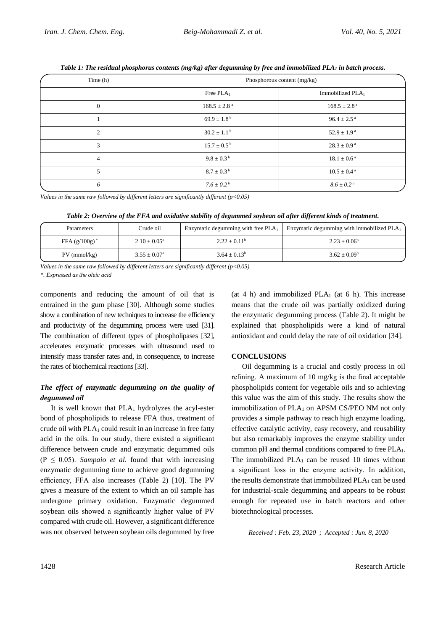| Time (h)       | Phosphorous content (mg/kg)  |                              |  |
|----------------|------------------------------|------------------------------|--|
|                | Free $PLA_1$                 | Immobilized PLA              |  |
| $\Omega$       | $168.5 \pm 2.8$ <sup>a</sup> | $168.5 \pm 2.8$ <sup>a</sup> |  |
|                | $69.9 \pm 1.8^{\mathrm{b}}$  | $96.4 \pm 2.5^{\text{a}}$    |  |
| 2              | $30.2 \pm 1.1^{\text{ b}}$   | $52.9 \pm 1.9^{\text{a}}$    |  |
| 3              | $15.7 \pm 0.5^{\mathrm{b}}$  | $28.3 \pm 0.9^{\text{ a}}$   |  |
| $\overline{4}$ | $9.8 \pm 0.3^{\mathrm{b}}$   | $18.1 \pm 0.6^{\text{ a}}$   |  |
| 5              | $8.7 \pm 0.3^{\mathrm{b}}$   | $10.5 \pm 0.4^{\text{ a}}$   |  |
| 6              | $7.6 \pm 0.2^b$              | $8.6 \pm 0.2^{\circ}$        |  |

*Table 1: The residual phosphorus contents (mg/kg) after degumming by free and immobilized PLA<sup>1</sup> in batch process.*

*Values in the same raw followed by different letters are significantly different (p<0.05)*

| Table 2: Overview of the FFA and oxidative stability of degummed soybean oil after different kinds of treatment. |  |  |  |  |
|------------------------------------------------------------------------------------------------------------------|--|--|--|--|
|------------------------------------------------------------------------------------------------------------------|--|--|--|--|

| Parameters       | Crude oil                  | Enzymatic degumming with free $PLA_1$ | Enzymatic degumming with immobilized PLA1 |
|------------------|----------------------------|---------------------------------------|-------------------------------------------|
| FFA $(g/100g)^*$ | $2.10 \pm 0.05^{\text{a}}$ | $2.22 + 0.11^b$                       | $2.23 + 0.06^b$                           |
| $PV$ (mmol/kg)   | $3.55 \pm 0.07^{\rm a}$    | $3.64 + 0.13^b$                       | $3.62 + 0.09^b$                           |

*Values in the same raw followed by different letters are significantly different (p<0.05)*

*\*. Expressed as the oleic acid*

components and reducing the amount of oil that is entrained in the gum phase [30]. Although some studies show a combination of new techniques to increase the efficiency and productivity of the degumming process were used [31]. The combination of different types of phospholipases [32], accelerates enzymatic processes with ultrasound used to intensify mass transfer rates and, in consequence, to increase the rates of biochemical reactions [33].

# *The effect of enzymatic degumming on the quality of degummed oil*

It is well known that  $PLA_1$  hydrolyzes the acyl-ester bond of phospholipids to release FFA thus, treatment of crude oil with  $PLA_1$  could result in an increase in free fatty acid in the oils. In our study, there existed a significant difference between crude and enzymatic degummed oils  $(P \leq 0.05)$ . *Sampaio et al.* found that with increasing enzymatic degumming time to achieve good degumming efficiency, FFA also increases (Table 2) [10]. The PV gives a measure of the extent to which an oil sample has undergone primary oxidation. Enzymatic degummed soybean oils showed a significantly higher value of PV compared with crude oil. However, a significant difference was not observed between soybean oils degummed by free

(at 4 h) and immobilized  $PLA_1$  (at 6 h). This increase means that the crude oil was partially oxidized during the enzymatic degumming process (Table 2). It might be explained that phospholipids were a kind of natural antioxidant and could delay the rate of oil oxidation [34].

# **CONCLUSIONS**

Oil degumming is a crucial and costly process in oil refining. A maximum of 10 mg/kg is the final acceptable phospholipids content for vegetable oils and so achieving this value was the aim of this study. The results show the immobilization of  $PLA_1$  on APSM CS/PEO NM not only provides a simple pathway to reach high enzyme loading, effective catalytic activity, easy recovery, and reusability but also remarkably improves the enzyme stability under common pH and thermal conditions compared to free PLA1. The immobilized  $PLA_1$  can be reused 10 times without a significant loss in the enzyme activity. In addition, the results demonstrate that immobilized PLA<sup>1</sup> can be used for industrial-scale degumming and appears to be robust enough for repeated use in batch reactors and other biotechnological processes.

*Received : Feb. 23, 2020 ; Accepted : Jun. 8, 2020*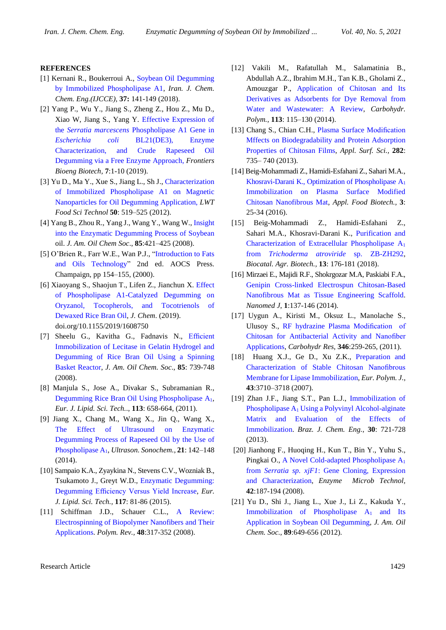#### **REFERENCES**

- [1] Kernani R., Boukerroui A., [Soybean Oil Degumming](http://www.ijcce.ac.ir/article_29400_0.html)  [by Immobilized Phospholipase A1,](http://www.ijcce.ac.ir/article_29400_0.html) *Iran. J. Chem. Chem. Eng.(IJCCE),* **37:** 141-149 (2018).
- [2] Yang P., Wu Y., Jiang S., Zheng Z., Hou Z., Mu D., Xiao W, Jiang S., Yang Y. [Effective Expression of](https://www.frontiersin.org/articles/10.3389/fbioe.2019.00272/full)  the *Serratia marcescens* [Phospholipase A1 Gene in](https://www.frontiersin.org/articles/10.3389/fbioe.2019.00272/full)  *Escherichia coli* [BL21\(DE3\), Enzyme](https://www.frontiersin.org/articles/10.3389/fbioe.2019.00272/full)  [Characterization, and Crude Rapeseed Oil](https://www.frontiersin.org/articles/10.3389/fbioe.2019.00272/full)  [Degumming via a Free Enzyme Approach,](https://www.frontiersin.org/articles/10.3389/fbioe.2019.00272/full) *Frontiers Bioeng Biotech,* **7**:1-10 (2019).
- [3] Yu D., Ma Y., Xue S., Jiang L., Sh J., [Characterization](https://www.sciencedirect.com/science/article/pii/S0023643812003507)  [of Immobilized Phospholipase A1 on Magnetic](https://www.sciencedirect.com/science/article/pii/S0023643812003507)  [Nanoparticles for Oil Degumming Application,](https://www.sciencedirect.com/science/article/pii/S0023643812003507) *LWT Food Sci Technol* **50**: 519–525 (2012).
- [4] Yang B., Zhou R., Yang J., Wang Y., Wang W., [Insight](https://link.springer.com/article/10.1007%2Fs11746-008-1225-y)  [into the Enzymatic Degumming Process of Soybean](https://link.springer.com/article/10.1007%2Fs11746-008-1225-y) oil. *J. Am. Oil Chem Soc*., **85**:421–425 (2008).
- [5] O'Brien R., Farr W.E., Wan P.J., ["Introduction to Fats](https://books.google.com/books/about/Introduction_to_Fats_and_Oils_Technology.html?id=gr81JMwGBnYC)  [and Oils Technology"](https://books.google.com/books/about/Introduction_to_Fats_and_Oils_Technology.html?id=gr81JMwGBnYC) 2nd ed. AOCS Press. Champaign, pp 154–155, (2000).
- [6] Xiaoyang S., Shaojun T., Lifen Z., Jianchun X. [Effect](https://www.hindawi.com/journals/jchem/2019/1608750/)  [of Phospholipase A1-Catalyzed Degumming on](https://www.hindawi.com/journals/jchem/2019/1608750/)  [Oryzanol, Tocopherols, and Tocotrienols of](https://www.hindawi.com/journals/jchem/2019/1608750/)  [Dewaxed Rice Bran Oil,](https://www.hindawi.com/journals/jchem/2019/1608750/) *J. Chem*. (2019). doi.org/10.1155/2019/1608750
- [7] Sheelu G., Kavitha G., Fadnavis N., [Efficient](https://link.springer.com/article/10.1007%2Fs11746-008-1261-7)  [Immobilization of Lecitase in Gelatin Hydrogel and](https://link.springer.com/article/10.1007%2Fs11746-008-1261-7)  [Degumming of Rice Bran Oil Using a Spinning](https://link.springer.com/article/10.1007%2Fs11746-008-1261-7)  [Basket Reactor,](https://link.springer.com/article/10.1007%2Fs11746-008-1261-7) *J. Am. Oil Chem. Soc*., **85**: 739-748 (2008).
- [8] Manjula S., Jose A., Divakar S., Subramanian R., [Degumming Rice Bran Oil Using Phospholipase A](https://onlinelibrary.wiley.com/doi/abs/10.1002/ejlt.201000376)1, *Eur. J. Lipid. Sci. Tech.*., **113**: 658-664, (2011).
- [9] Jiang X., Chang M., Wang X., Jin Q., Wang X., [The Effect of Ultrasound on Enzymatic](https://www.sciencedirect.com/science/article/pii/S1350417713001715)  [Degumming Process of Rapeseed Oil by the Use of](https://www.sciencedirect.com/science/article/pii/S1350417713001715)  [Phospholipase A](https://www.sciencedirect.com/science/article/pii/S1350417713001715)1, *Ultrason. Sonochem.*, **21**: 142–148 (2014).
- [10] Sampaio K.A., Zyaykina N., Stevens C.V., Wozniak B., Tsukamoto J., Greyt W.D., [Enzymatic Degumming:](https://onlinelibrary.wiley.com/doi/abs/10.1002/ejlt.201400218)  [Degumming Efficiency Versus Yield Increase,](https://onlinelibrary.wiley.com/doi/abs/10.1002/ejlt.201400218) *Eur. J. Lipid. Sci. Tech.,* **117**: 81-86 (2015).
- [11] Schiffman J.D., Schauer C.L., A Review: [Electrospinning of Biopolymer Nanofibers and Their](https://www.tandfonline.com/doi/abs/10.1080/15583720802022182)  [Applications.](https://www.tandfonline.com/doi/abs/10.1080/15583720802022182) *Polym. Rev.,* **48**:317-352 (2008).
- [12] Vakili M., Rafatullah M., Salamatinia B., Abdullah A.Z., Ibrahim M.H., Tan K.B., Gholami Z., Amouzgar P., [Application of Chitosan and Its](https://www.sciencedirect.com/science/article/abs/pii/S0144861714006729)  [Derivatives as Adsorbents for Dye Removal from](https://www.sciencedirect.com/science/article/abs/pii/S0144861714006729)  [Water and Wastewater: A Review,](https://www.sciencedirect.com/science/article/abs/pii/S0144861714006729) *Carbohydr. Polym.*, **113**: 115–130 (2014).
- [13] Chang S., Chian C.H., Plasma Surface Modification Mffects [on Biodegradability and Protein Adsorption](https://www.sciencedirect.com/science/article/abs/pii/S0169433213011434)  [Properties of Chitosan Films,](https://www.sciencedirect.com/science/article/abs/pii/S0169433213011434) *Appl. Surf. Sci.,* **282**: 735– 740 (2013).
- [14] Beig-Mohammadi Z., Hamidi-Esfahani Z., Sahari M.A., [Khosravi-Darani K., Optimization of Phospholipase A](http://journals.sbmu.ac.ir/afb/article/view/9844)<sup>1</sup> [Immobilization on Plasma Surface Modified](http://journals.sbmu.ac.ir/afb/article/view/9844)  [Chitosan Nanofibrous Mat,](http://journals.sbmu.ac.ir/afb/article/view/9844) *Appl. Food Biotech.,* **3**: 25-34 (2016).
- [15] Beig-Mohammadi Z., Hamidi-Esfahani Z., Sahari M.A., Khosravi-Darani K., [Purification and](https://www.sciencedirect.com/science/article/abs/pii/S1878818117303687)  [Characterization of Extracellular Phospholipase A](https://www.sciencedirect.com/science/article/abs/pii/S1878818117303687)<sup>1</sup> from *[Trichoderma atroviride](https://www.sciencedirect.com/science/article/abs/pii/S1878818117303687)* sp. ZB-ZH292, *Biocatal. Agr. Biotech.,* **13**: 176-181 (2018).
- [16] Mirzaei E., Majidi R.F., Shokrgozar M.A, Paskiabi F.A., [Genipin Cross-linked Electrospun Chitosan-Based](http://nmj.mums.ac.ir/?_action=articleInfo&article=2112)  [Nanofibrous Mat as Tissue Engineering Scaffold.](http://nmj.mums.ac.ir/?_action=articleInfo&article=2112) *Nanomed J*, **1**:137-146 (2014).
- [17] Uygun A., Kiristi M., Oksuz L., Manolache S., Ulusoy S., [RF hydrazine Plasma Modification of](https://www.sciencedirect.com/science/article/abs/pii/S0008621510005045)  [Chitosan for Antibacterial Activity and Nanofiber](https://www.sciencedirect.com/science/article/abs/pii/S0008621510005045)  [Applications,](https://www.sciencedirect.com/science/article/abs/pii/S0008621510005045) *Carbohydr Res*, **346**:259-265, (2011).
- [18] Huang X.J., Ge D., Xu Z.K., [Preparation and](https://www.sciencedirect.com/science/article/abs/pii/S0014305707003448)  [Characterization of Stable Chitosan Nanofibrous](https://www.sciencedirect.com/science/article/abs/pii/S0014305707003448)  [Membrane for Lipase Immobilization,](https://www.sciencedirect.com/science/article/abs/pii/S0014305707003448) *Eur. Polym. J.*, **43**:3710–3718 (2007).
- [19] Zhan J.F., Jiang S.T., Pan L.J., Immobilization of Phospholipase A<sup>1</sup> [Using a Polyvinyl Alcohol-alginate](https://www.scielo.br/scielo.php?pid=S0104-66322013000400004&script=sci_arttext)  [Matrix and Evaluation of the Effects of](https://www.scielo.br/scielo.php?pid=S0104-66322013000400004&script=sci_arttext)  [Immobilization.](https://www.scielo.br/scielo.php?pid=S0104-66322013000400004&script=sci_arttext) *Braz. J. Chem. Eng.*, **30**: 721-728 (2013).
- [20] Jianhong F., Huoqing H., Kun T., Bin Y., Yuhu S., Pingkai O., [A Novel Cold-adapted Phospholipase A](https://www.sciencedirect.com/science/article/pii/S0141022907003109)<sup>1</sup> from *Serratia sp. xjF1*[: Gene Cloning, Expression](https://www.sciencedirect.com/science/article/pii/S0141022907003109)  [and Characterization,](https://www.sciencedirect.com/science/article/pii/S0141022907003109) *Enzyme Microb Technol,* **42**:187-194 (2008).
- [21] Yu D., Shi J., Jiang L., Xue J., Li Z., Kakuda Y., Immobilization of Phospholipase  $A_1$  and Its [Application in Soybean Oil Degumming,](https://link.springer.com/article/10.1007/s11746-011-1943-4) *J. Am. Oil Chem. Soc.*, **89**:649-656 (2012).

Research Article 1429